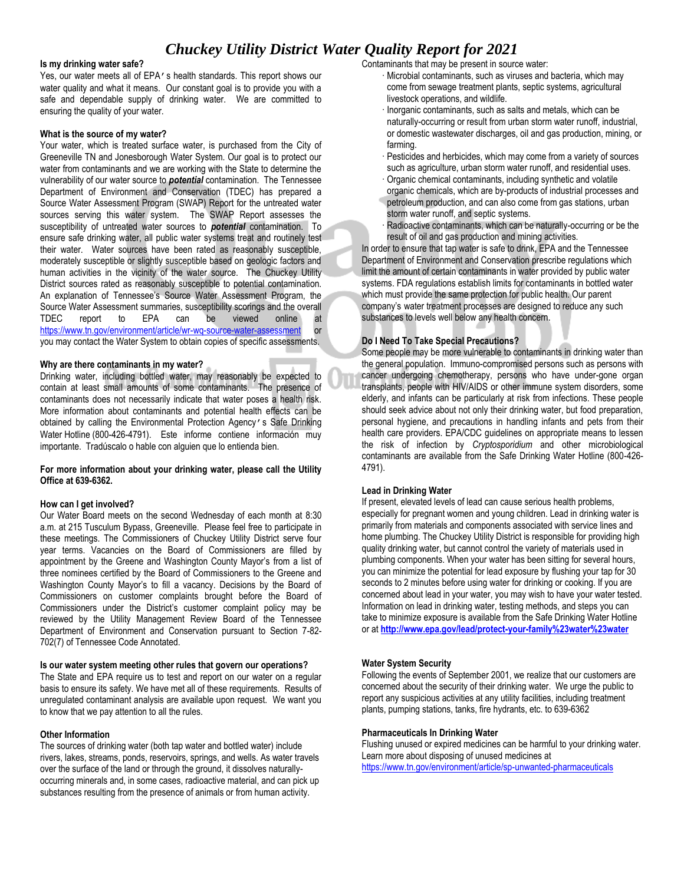# *Chuckey Utility District Water Quality Report for 2021*

#### **Is my drinking water safe?**

Yes, our water meets all of EPA's health standards. This report shows our water quality and what it means. Our constant goal is to provide you with a safe and dependable supply of drinking water. We are committed to ensuring the quality of your water.

#### **What is the source of my water?**

Your water, which is treated surface water, is purchased from the City of Greeneville TN and Jonesborough Water System. Our goal is to protect our water from contaminants and we are working with the State to determine the vulnerability of our water source to *potential* contamination. The Tennessee Department of Environment and Conservation (TDEC) has prepared a Source Water Assessment Program (SWAP) Report for the untreated water sources serving this water system. The SWAP Report assesses the susceptibility of untreated water sources to *potential* contamination. To ensure safe drinking water, all public water systems treat and routinely test their water. Water sources have been rated as reasonably susceptible, moderately susceptible or slightly susceptible based on geologic factors and human activities in the vicinity of the water source. The Chuckey Utility District sources rated as reasonably susceptible to potential contamination. An explanation of Tennessee's Source Water Assessment Program, the Source Water Assessment summaries, susceptibility scorings and the overall<br>TDEC report to EPA can be viewed online at TDEC report to EPA can be viewed online at <https://www.tn.gov/environment/article/wr-wq-source-water-assessment> or you may contact the Water System to obtain copies of specific assessments.

#### **Why are there contaminants in my water?**

Drinking water, including bottled water, may reasonably be expected to contain at least small amounts of some contaminants. The presence of contaminants does not necessarily indicate that water poses a health risk. More information about contaminants and potential health effects can be obtained by calling the Environmental Protection Agency's Safe Drinking Water Hotline (800-426-4791). Este informe contiene información muy importante. Tradúscalo o hable con alguien que lo entienda bien.

#### **For more information about your drinking water, please call the Utility Office at 639-6362.**

#### **How can I get involved?**

Our Water Board meets on the second Wednesday of each month at 8:30 a.m. at 215 Tusculum Bypass, Greeneville. Please feel free to participate in these meetings. The Commissioners of Chuckey Utility District serve four year terms. Vacancies on the Board of Commissioners are filled by appointment by the Greene and Washington County Mayor's from a list of three nominees certified by the Board of Commissioners to the Greene and Washington County Mayor's to fill a vacancy. Decisions by the Board of Commissioners on customer complaints brought before the Board of Commissioners under the District's customer complaint policy may be reviewed by the Utility Management Review Board of the Tennessee Department of Environment and Conservation pursuant to Section 7-82- 702(7) of Tennessee Code Annotated.

#### **Is our water system meeting other rules that govern our operations?**

The State and EPA require us to test and report on our water on a regular basis to ensure its safety. We have met all of these requirements. Results of unregulated contaminant analysis are available upon request. We want you to know that we pay attention to all the rules.

#### **Other Information**

The sources of drinking water (both tap water and bottled water) include rivers, lakes, streams, ponds, reservoirs, springs, and wells. As water travels over the surface of the land or through the ground, it dissolves naturallyoccurring minerals and, in some cases, radioactive material, and can pick up substances resulting from the presence of animals or from human activity.

Contaminants that may be present in source water:

- · Microbial contaminants, such as viruses and bacteria, which may come from sewage treatment plants, septic systems, agricultural livestock operations, and wildlife.
- · Inorganic contaminants, such as salts and metals, which can be naturally-occurring or result from urban storm water runoff, industrial, or domestic wastewater discharges, oil and gas production, mining, or farming.
- Pesticides and herbicides, which may come from a variety of sources such as agriculture, urban storm water runoff, and residential uses.
- · Organic chemical contaminants, including synthetic and volatile organic chemicals, which are by-products of industrial processes and petroleum production, and can also come from gas stations, urban storm water runoff, and septic systems.
- Radioactive contaminants, which can be naturally-occurring or be the result of oil and gas production and mining activities.

In order to ensure that tap water is safe to drink, EPA and the Tennessee Department of Environment and Conservation prescribe regulations which limit the amount of certain contaminants in water provided by public water systems. FDA regulations establish limits for contaminants in bottled water which must provide the same protection for public health. Our parent company's water treatment processes are designed to reduce any such substances to levels well below any health concern.

#### **Do I Need To Take Special Precautions?**

Some people may be more vulnerable to contaminants in drinking water than the general population. Immuno-compromised persons such as persons with cancer undergoing chemotherapy, persons who have under-gone organ transplants, people with HIV/AIDS or other immune system disorders, some elderly, and infants can be particularly at risk from infections. These people should seek advice about not only their drinking water, but food preparation, personal hygiene, and precautions in handling infants and pets from their health care providers. EPA/CDC guidelines on appropriate means to lessen the risk of infection by *Cryptosporidium* and other microbiological contaminants are available from the Safe Drinking Water Hotline (800-426- 4791).

# **Lead in Drinking Water**

If present, elevated levels of lead can cause serious health problems, especially for pregnant women and young children. Lead in drinking water is primarily from materials and components associated with service lines and home plumbing. The Chuckey Utility District is responsible for providing high quality drinking water, but cannot control the variety of materials used in plumbing components. When your water has been sitting for several hours, you can minimize the potential for lead exposure by flushing your tap for 30 seconds to 2 minutes before using water for drinking or cooking. If you are concerned about lead in your water, you may wish to have your water tested. Information on lead in drinking water, testing methods, and steps you can take to minimize exposure is available from the Safe Drinking Water Hotline or at **<http://www.epa.gov/lead/protect-your-family%23water%23water>**

### **Water System Security**

Following the events of September 2001, we realize that our customers are concerned about the security of their drinking water. We urge the public to report any suspicious activities at any utility facilities, including treatment plants, pumping stations, tanks, fire hydrants, etc. to 639-6362

#### **Pharmaceuticals In Drinking Water**

Flushing unused or expired medicines can be harmful to your drinking water. Learn more about disposing of unused medicines at <https://www.tn.gov/environment/article/sp-unwanted-pharmaceuticals>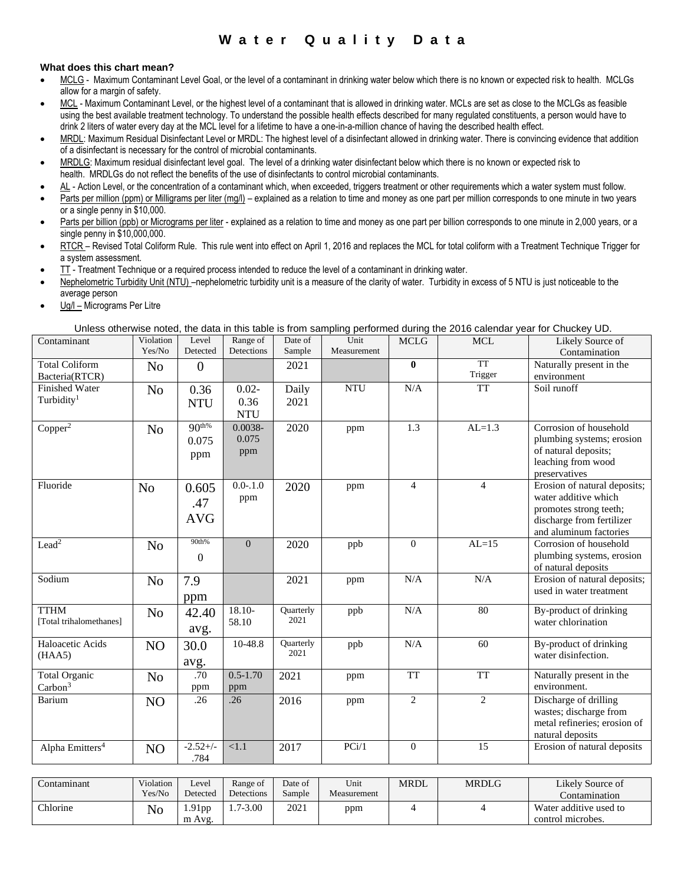# **W a t e r Q u a l i t y D a t a**

# **What does this chart mean?**

- MCLG Maximum Contaminant Level Goal, or the level of a contaminant in drinking water below which there is no known or expected risk to health. MCLGs allow for a margin of safety.
- MCL Maximum Contaminant Level, or the highest level of a contaminant that is allowed in drinking water. MCLs are set as close to the MCLGs as feasible using the best available treatment technology. To understand the possible health effects described for many regulated constituents, a person would have to drink 2 liters of water every day at the MCL level for a lifetime to have a one-in-a-million chance of having the described health effect.
- MRDL: Maximum Residual Disinfectant Level or MRDL: The highest level of a disinfectant allowed in drinking water. There is convincing evidence that addition of a disinfectant is necessary for the control of microbial contaminants.
- MRDLG: Maximum residual disinfectant level goal. The level of a drinking water disinfectant below which there is no known or expected risk to health. MRDLGs do not reflect the benefits of the use of disinfectants to control microbial contaminants.
- AL Action Level, or the concentration of a contaminant which, when exceeded, triggers treatment or other requirements which a water system must follow.
- Parts per million (ppm) or Milligrams per liter (mg/l) explained as a relation to time and money as one part per million corresponds to one minute in two years or a single penny in \$10,000.
- Parts per billion (ppb) or Micrograms per liter explained as a relation to time and money as one part per billion corresponds to one minute in 2,000 years, or a single penny in \$10,000,000.
- RTCR Revised Total Coliform Rule. This rule went into effect on April 1, 2016 and replaces the MCL for total coliform with a Treatment Technique Trigger for a system assessment.
- TT Treatment Technique or a required process intended to reduce the level of a contaminant in drinking water.
- Nephelometric Turbidity Unit (NTU) -nephelometric turbidity unit is a measure of the clarity of water. Turbidity in excess of 5 NTU is just noticeable to the average person
- Ug/l Micrograms Per Litre

Unless otherwise noted, the data in this table is from sampling performed during the 2016 calendar year for Chuckey UD.

|                                         | Violation      | Level            | Range of         | Date of           | Unit        | <b>MCLG</b>    | <b>MCL</b>           | Likely Source of                                  |
|-----------------------------------------|----------------|------------------|------------------|-------------------|-------------|----------------|----------------------|---------------------------------------------------|
|                                         | Yes/No         | Detected         | Detections       | Sample            | Measurement |                |                      | Contamination                                     |
| Total Coliform                          | N <sub>o</sub> | $\boldsymbol{0}$ |                  | 2021              |             | $\bf{0}$       | <b>TT</b><br>Trigger | Naturally present in the                          |
| Bacteria(RTCR)<br><b>Finished Water</b> |                |                  |                  |                   | <b>NTU</b>  | N/A            | <b>TT</b>            | environment<br>Soil runoff                        |
| Turbidity <sup>1</sup>                  | N <sub>o</sub> | 0.36             | $0.02 -$         | Daily             |             |                |                      |                                                   |
|                                         |                | <b>NTU</b>       | 0.36             | 2021              |             |                |                      |                                                   |
|                                         |                |                  | <b>NTU</b>       |                   |             |                |                      |                                                   |
| Copper <sup>2</sup>                     | N <sub>o</sub> | $90^{th%}$       | 0.0038-<br>0.075 | 2020              | ppm         | 1.3            | $AL=1.3$             | Corrosion of household                            |
|                                         |                | 0.075            |                  |                   |             |                |                      | plumbing systems; erosion<br>of natural deposits; |
|                                         |                | ppm              | ppm              |                   |             |                |                      | leaching from wood                                |
|                                         |                |                  |                  |                   |             |                |                      | preservatives                                     |
| Fluoride<br>N <sub>o</sub>              |                | 0.605            | $0.0 - 1.0$      | 2020              | ppm         | $\overline{4}$ | $\overline{4}$       | Erosion of natural deposits;                      |
|                                         |                |                  | ppm              |                   |             |                |                      | water additive which                              |
|                                         |                | .47              |                  |                   |             |                |                      | promotes strong teeth;                            |
|                                         |                | <b>AVG</b>       |                  |                   |             |                |                      | discharge from fertilizer                         |
|                                         |                |                  |                  |                   |             |                |                      | and aluminum factories                            |
| Lead <sup>2</sup>                       | N <sub>o</sub> | 90th%            | $\overline{0}$   | 2020              | ppb         | $\overline{0}$ | $AL=15$              | Corrosion of household                            |
|                                         |                | $\boldsymbol{0}$ |                  |                   |             |                |                      | plumbing systems, erosion                         |
|                                         |                |                  |                  |                   |             |                |                      | of natural deposits                               |
| Sodium                                  | N <sub>o</sub> | 7.9              |                  | 2021              | ppm         | N/A            | N/A                  | Erosion of natural deposits;                      |
|                                         |                | ppm              |                  |                   |             |                |                      | used in water treatment                           |
| <b>TTHM</b>                             | N <sub>o</sub> | 42.40            | $18.10-$         | Quarterly         | ppb         | N/A            | $\overline{80}$      | By-product of drinking                            |
| [Total trihalomethanes]                 |                |                  | 58.10            | 2021              |             |                |                      | water chlorination                                |
|                                         |                | avg.             |                  |                   |             |                |                      |                                                   |
| Haloacetic Acids                        | NO             | 30.0             | 10-48.8          | Quarterly<br>2021 | ppb         | N/A            | 60                   | By-product of drinking                            |
| (HAA5)                                  |                | avg.             |                  |                   |             |                |                      | water disinfection.                               |
| <b>Total Organic</b>                    | N <sub>o</sub> | .70              | $0.5 - 1.70$     | 2021              | ppm         | <b>TT</b>      | <b>TT</b>            | Naturally present in the                          |
| Carbon <sup>3</sup>                     |                | ppm              | ppm              |                   |             |                |                      | environment.                                      |
| Barium                                  | N <sub>O</sub> | .26              | .26              | 2016              | ppm         | $\overline{2}$ | $\overline{c}$       | Discharge of drilling                             |
|                                         |                |                  |                  |                   |             |                |                      | wastes; discharge from                            |
|                                         |                |                  |                  |                   |             |                |                      | metal refineries; erosion of                      |
|                                         |                |                  |                  |                   |             |                |                      | natural deposits                                  |
| Alpha Emitters <sup>4</sup>             | N <sub>O</sub> | $-2.52+/-$       | < 1.1            | 2017              | PCi/1       | $\theta$       | 15                   | Erosion of natural deposits                       |
|                                         |                | .784             |                  |                   |             |                |                      |                                                   |

| `ontamınant     | Violation<br>Yes/No | Level<br>Detected | Range of<br>Detections | Date of<br>Sample | Unit<br>Measurement | <b>MRDL</b> | <b>MRDLG</b> | Likely Source of<br>Contamination           |
|-----------------|---------------------|-------------------|------------------------|-------------------|---------------------|-------------|--------------|---------------------------------------------|
| <b>Thlorine</b> | No                  | .91 pp<br>m Avg.  | .7-3.00                | 2021              | ppm                 |             |              | Water additive used to<br>control microbes. |